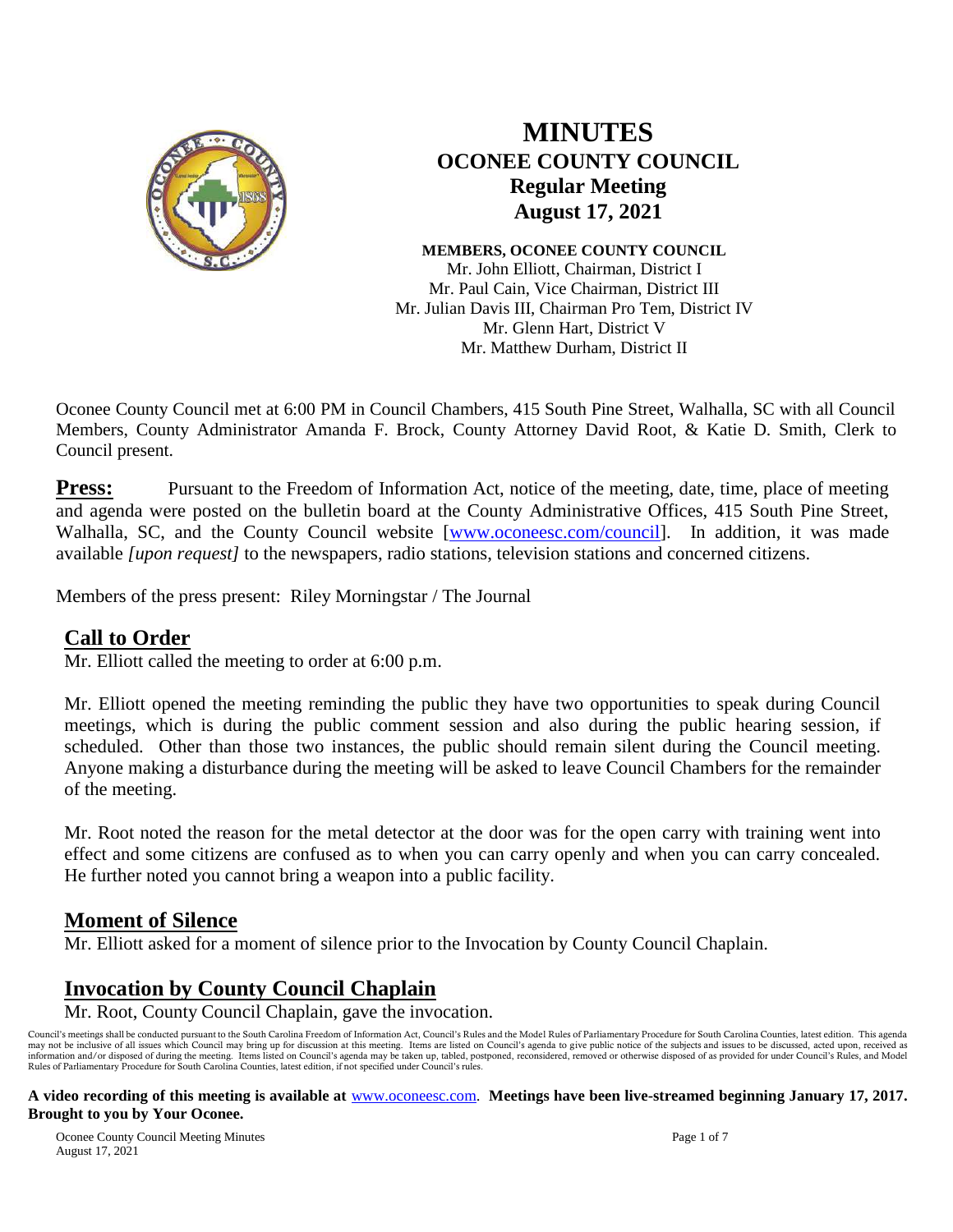

# **MINUTES OCONEE COUNTY COUNCIL Regular Meeting August 17, 2021**

**MEMBERS, OCONEE COUNTY COUNCIL** Mr. John Elliott, Chairman, District I Mr. Paul Cain, Vice Chairman, District III Mr. Julian Davis III, Chairman Pro Tem, District IV Mr. Glenn Hart, District V Mr. Matthew Durham, District II

Oconee County Council met at 6:00 PM in Council Chambers, 415 South Pine Street, Walhalla, SC with all Council Members, County Administrator Amanda F. Brock, County Attorney David Root, & Katie D. Smith, Clerk to Council present.

**Press:** Pursuant to the Freedom of Information Act, notice of the meeting, date, time, place of meeting and agenda were posted on the bulletin board at the County Administrative Offices, 415 South Pine Street, Walhalla, SC, and the County Council website [\[www.oconeesc.com/council\]](http://www.oconeesc.com/council). In addition, it was made available *[upon request]* to the newspapers, radio stations, television stations and concerned citizens.

Members of the press present: Riley Morningstar / The Journal

### **Call to Order**

Mr. Elliott called the meeting to order at 6:00 p.m.

Mr. Elliott opened the meeting reminding the public they have two opportunities to speak during Council meetings, which is during the public comment session and also during the public hearing session, if scheduled. Other than those two instances, the public should remain silent during the Council meeting. Anyone making a disturbance during the meeting will be asked to leave Council Chambers for the remainder of the meeting.

Mr. Root noted the reason for the metal detector at the door was for the open carry with training went into effect and some citizens are confused as to when you can carry openly and when you can carry concealed. He further noted you cannot bring a weapon into a public facility.

### **Moment of Silence**

Mr. Elliott asked for a moment of silence prior to the Invocation by County Council Chaplain.

### **Invocation by County Council Chaplain**

Mr. Root, County Council Chaplain, gave the invocation.

Council's meetings shall be conducted pursuant to the South Carolina Freedom of Information Act, Council's Rules and the Model Rules of Parliamentary Procedure for South Carolina Counties, latest edition. This agenda may not be inclusive of all issues which Council may bring up for discussion at this meeting. Items are listed on Council's agenda to give public notice of the subjects and issues to be discussed, acted upon, received as i Rules of Parliamentary Procedure for South Carolina Counties, latest edition, if not specified under Council's rules.

#### **A video recording of this meeting is available at** [www.oconeesc.com.](http://www.oconeesc.com/) **Meetings have been live-streamed beginning January 17, 2017. Brought to you by Your Oconee.**

Oconee County Council Meeting Minutes Page 1 of 7 August 17, 2021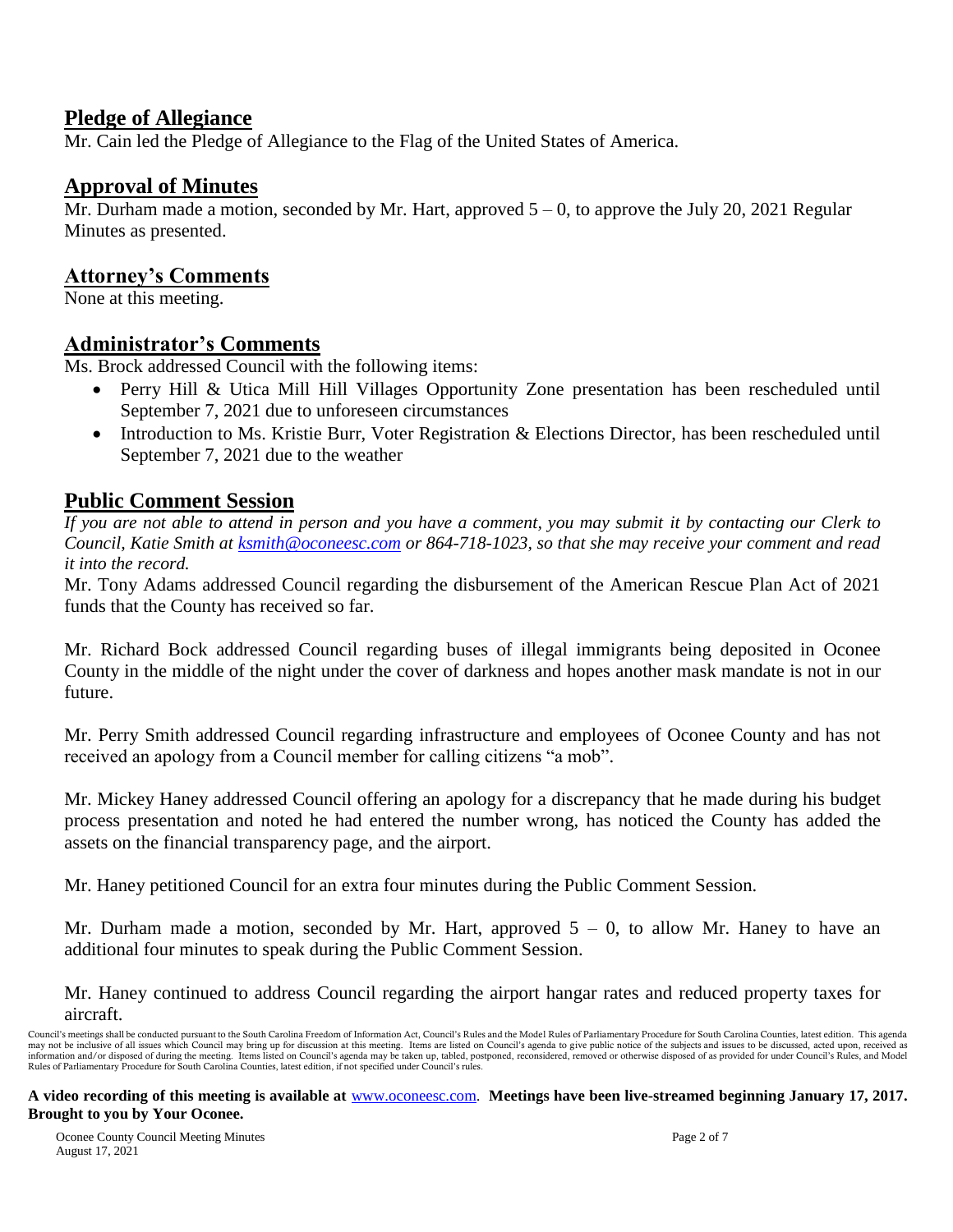### **Pledge of Allegiance**

Mr. Cain led the Pledge of Allegiance to the Flag of the United States of America.

### **Approval of Minutes**

Mr. Durham made a motion, seconded by Mr. Hart, approved  $5 - 0$ , to approve the July 20, 2021 Regular Minutes as presented.

## **Attorney's Comments**

None at this meeting.

### **Administrator's Comments**

Ms. Brock addressed Council with the following items:

- Perry Hill & Utica Mill Hill Villages Opportunity Zone presentation has been rescheduled until September 7, 2021 due to unforeseen circumstances
- Introduction to Ms. Kristie Burr, Voter Registration & Elections Director, has been rescheduled until September 7, 2021 due to the weather

## **Public Comment Session**

*If you are not able to attend in person and you have a comment, you may submit it by contacting our Clerk to Council, Katie Smith at [ksmith@oconeesc.com](mailto:ksmith@oconeesc.com) or 864-718-1023, so that she may receive your comment and read it into the record.* 

Mr. Tony Adams addressed Council regarding the disbursement of the American Rescue Plan Act of 2021 funds that the County has received so far.

Mr. Richard Bock addressed Council regarding buses of illegal immigrants being deposited in Oconee County in the middle of the night under the cover of darkness and hopes another mask mandate is not in our future.

Mr. Perry Smith addressed Council regarding infrastructure and employees of Oconee County and has not received an apology from a Council member for calling citizens "a mob".

Mr. Mickey Haney addressed Council offering an apology for a discrepancy that he made during his budget process presentation and noted he had entered the number wrong, has noticed the County has added the assets on the financial transparency page, and the airport.

Mr. Haney petitioned Council for an extra four minutes during the Public Comment Session.

Mr. Durham made a motion, seconded by Mr. Hart, approved  $5 - 0$ , to allow Mr. Haney to have an additional four minutes to speak during the Public Comment Session.

Mr. Haney continued to address Council regarding the airport hangar rates and reduced property taxes for aircraft.

Council's meetings shall be conducted pursuant to the South Carolina Freedom of Information Act, Council's Rules and the Model Rules of Parliamentary Procedure for South Carolina Counties, latest edition. This agenda may not be inclusive of all issues which Council may bring up for discussion at this meeting. Items are listed on Council's agenda to give public notice of the subjects and issues to be discussed, acted upon, received as i Rules of Parliamentary Procedure for South Carolina Counties, latest edition, if not specified under Council's rules.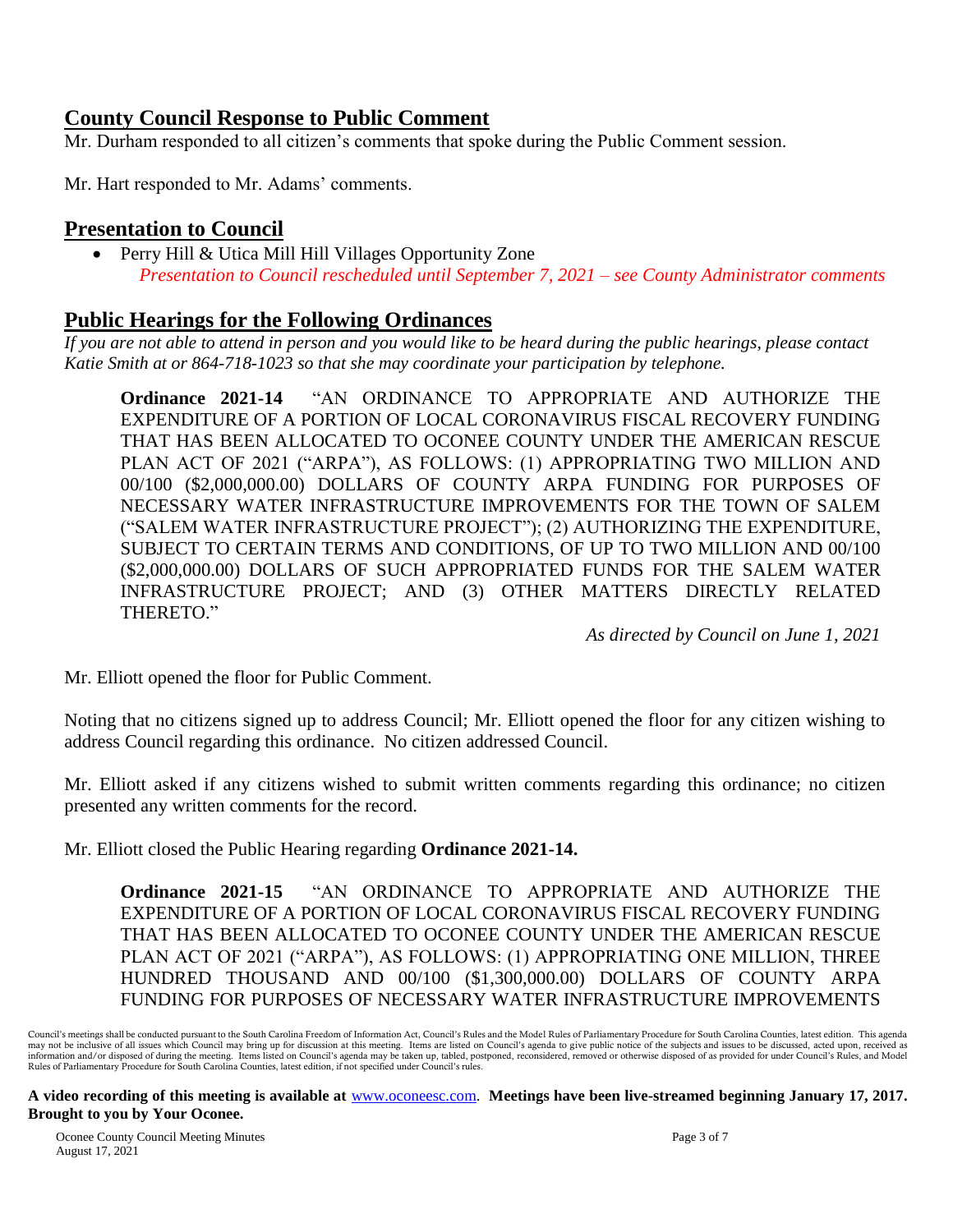### **County Council Response to Public Comment**

Mr. Durham responded to all citizen's comments that spoke during the Public Comment session.

Mr. Hart responded to Mr. Adams' comments.

## **Presentation to Council**

• Perry Hill & Utica Mill Hill Villages Opportunity Zone *Presentation to Council rescheduled until September 7, 2021 – see County Administrator comments*

### **Public Hearings for the Following Ordinances**

*If you are not able to attend in person and you would like to be heard during the public hearings, please contact Katie Smith at or 864-718-1023 so that she may coordinate your participation by telephone.*

**Ordinance 2021-14** "AN ORDINANCE TO APPROPRIATE AND AUTHORIZE THE EXPENDITURE OF A PORTION OF LOCAL CORONAVIRUS FISCAL RECOVERY FUNDING THAT HAS BEEN ALLOCATED TO OCONEE COUNTY UNDER THE AMERICAN RESCUE PLAN ACT OF 2021 ("ARPA"), AS FOLLOWS: (1) APPROPRIATING TWO MILLION AND 00/100 (\$2,000,000.00) DOLLARS OF COUNTY ARPA FUNDING FOR PURPOSES OF NECESSARY WATER INFRASTRUCTURE IMPROVEMENTS FOR THE TOWN OF SALEM ("SALEM WATER INFRASTRUCTURE PROJECT"); (2) AUTHORIZING THE EXPENDITURE, SUBJECT TO CERTAIN TERMS AND CONDITIONS, OF UP TO TWO MILLION AND 00/100 (\$2,000,000.00) DOLLARS OF SUCH APPROPRIATED FUNDS FOR THE SALEM WATER INFRASTRUCTURE PROJECT; AND (3) OTHER MATTERS DIRECTLY RELATED THERETO."

*As directed by Council on June 1, 2021*

Mr. Elliott opened the floor for Public Comment.

Noting that no citizens signed up to address Council; Mr. Elliott opened the floor for any citizen wishing to address Council regarding this ordinance. No citizen addressed Council.

Mr. Elliott asked if any citizens wished to submit written comments regarding this ordinance; no citizen presented any written comments for the record.

Mr. Elliott closed the Public Hearing regarding **Ordinance 2021-14.**

**Ordinance 2021-15** "AN ORDINANCE TO APPROPRIATE AND AUTHORIZE THE EXPENDITURE OF A PORTION OF LOCAL CORONAVIRUS FISCAL RECOVERY FUNDING THAT HAS BEEN ALLOCATED TO OCONEE COUNTY UNDER THE AMERICAN RESCUE PLAN ACT OF 2021 ("ARPA"), AS FOLLOWS: (1) APPROPRIATING ONE MILLION, THREE HUNDRED THOUSAND AND 00/100 (\$1,300,000.00) DOLLARS OF COUNTY ARPA FUNDING FOR PURPOSES OF NECESSARY WATER INFRASTRUCTURE IMPROVEMENTS

Council's meetings shall be conducted pursuant to the South Carolina Freedom of Information Act, Council's Rules and the Model Rules of Parliamentary Procedure for South Carolina Counties, latest edition. This agenda may not be inclusive of all issues which Council may bring up for discussion at this meeting. Items are listed on Council's agenda to give public notice of the subjects and issues to be discussed, acted upon, received as i Rules of Parliamentary Procedure for South Carolina Counties, latest edition, if not specified under Council's rules.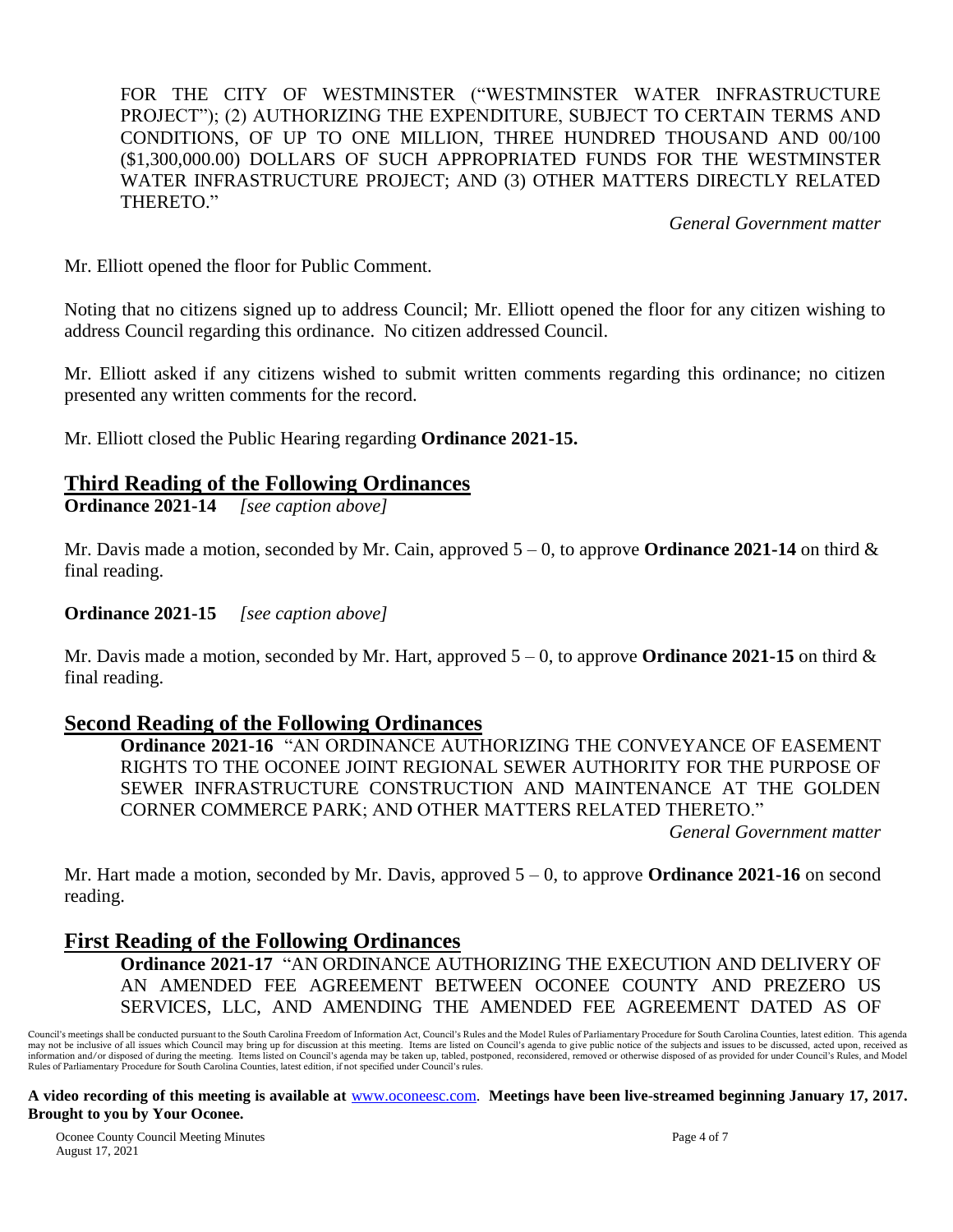FOR THE CITY OF WESTMINSTER ("WESTMINSTER WATER INFRASTRUCTURE PROJECT"); (2) AUTHORIZING THE EXPENDITURE, SUBJECT TO CERTAIN TERMS AND CONDITIONS, OF UP TO ONE MILLION, THREE HUNDRED THOUSAND AND 00/100 (\$1,300,000.00) DOLLARS OF SUCH APPROPRIATED FUNDS FOR THE WESTMINSTER WATER INFRASTRUCTURE PROJECT; AND (3) OTHER MATTERS DIRECTLY RELATED THERETO."

*General Government matter*

Mr. Elliott opened the floor for Public Comment.

Noting that no citizens signed up to address Council; Mr. Elliott opened the floor for any citizen wishing to address Council regarding this ordinance. No citizen addressed Council.

Mr. Elliott asked if any citizens wished to submit written comments regarding this ordinance; no citizen presented any written comments for the record.

Mr. Elliott closed the Public Hearing regarding **Ordinance 2021-15.**

#### **Third Reading of the Following Ordinances**

**Ordinance 2021-14** *[see caption above]*

Mr. Davis made a motion, seconded by Mr. Cain, approved  $5 - 0$ , to approve **Ordinance 2021-14** on third  $\&$ final reading.

**Ordinance 2021-15** *[see caption above]*

Mr. Davis made a motion, seconded by Mr. Hart, approved  $5 - 0$ , to approve **Ordinance 2021-15** on third  $\&$ final reading.

### **Second Reading of the Following Ordinances**

**Ordinance 2021-16** "AN ORDINANCE AUTHORIZING THE CONVEYANCE OF EASEMENT RIGHTS TO THE OCONEE JOINT REGIONAL SEWER AUTHORITY FOR THE PURPOSE OF SEWER INFRASTRUCTURE CONSTRUCTION AND MAINTENANCE AT THE GOLDEN CORNER COMMERCE PARK; AND OTHER MATTERS RELATED THERETO."

*General Government matter*

Mr. Hart made a motion, seconded by Mr. Davis, approved 5 – 0, to approve **Ordinance 2021-16** on second reading.

### **First Reading of the Following Ordinances**

**Ordinance 2021-17** "AN ORDINANCE AUTHORIZING THE EXECUTION AND DELIVERY OF AN AMENDED FEE AGREEMENT BETWEEN OCONEE COUNTY AND PREZERO US SERVICES, LLC, AND AMENDING THE AMENDED FEE AGREEMENT DATED AS OF

Council's meetings shall be conducted pursuant to the South Carolina Freedom of Information Act, Council's Rules and the Model Rules of Parliamentary Procedure for South Carolina Counties, latest edition. This agenda may not be inclusive of all issues which Council may bring up for discussion at this meeting. Items are listed on Council's agenda to give public notice of the subjects and issues to be discussed, acted upon, received as i Rules of Parliamentary Procedure for South Carolina Counties, latest edition, if not specified under Council's rules.

**A video recording of this meeting is available at** [www.oconeesc.com.](http://www.oconeesc.com/) **Meetings have been live-streamed beginning January 17, 2017. Brought to you by Your Oconee.**

Oconee County Council Meeting Minutes Page 4 of 7 August 17, 2021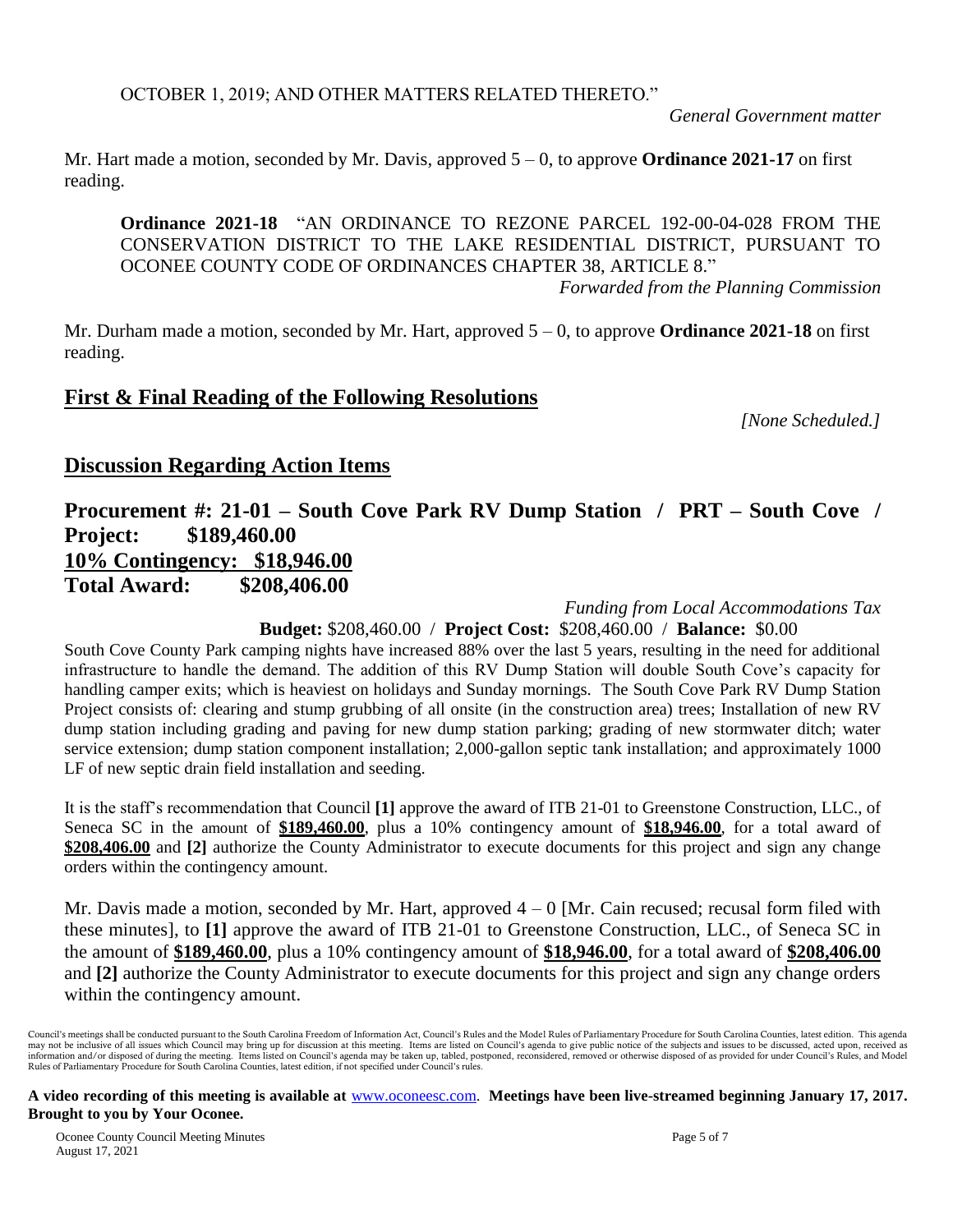*General Government matter*

Mr. Hart made a motion, seconded by Mr. Davis, approved 5 – 0, to approve **Ordinance 2021-17** on first reading.

**Ordinance 2021-18** "AN ORDINANCE TO REZONE PARCEL 192-00-04-028 FROM THE CONSERVATION DISTRICT TO THE LAKE RESIDENTIAL DISTRICT, PURSUANT TO OCONEE COUNTY CODE OF ORDINANCES CHAPTER 38, ARTICLE 8." *Forwarded from the Planning Commission*

Mr. Durham made a motion, seconded by Mr. Hart, approved 5 – 0, to approve **Ordinance 2021-18** on first reading.

### **First & Final Reading of the Following Resolutions**

*[None Scheduled.]*

### **Discussion Regarding Action Items**

## **Procurement #: 21-01 – South Cove Park RV Dump Station / PRT – South Cove / Project: \$189,460.00 10% Contingency: \$18,946.00 Total Award: \$208,406.00**

*Funding from Local Accommodations Tax*

### **Budget:** \$208,460.00 / **Project Cost:** \$208,460.00 / **Balance:** \$0.00

South Cove County Park camping nights have increased 88% over the last 5 years, resulting in the need for additional infrastructure to handle the demand. The addition of this RV Dump Station will double South Cove's capacity for handling camper exits; which is heaviest on holidays and Sunday mornings. The South Cove Park RV Dump Station Project consists of: clearing and stump grubbing of all onsite (in the construction area) trees; Installation of new RV dump station including grading and paving for new dump station parking; grading of new stormwater ditch; water service extension; dump station component installation; 2,000-gallon septic tank installation; and approximately 1000 LF of new septic drain field installation and seeding.

It is the staff's recommendation that Council **[1]** approve the award of ITB 21-01 to Greenstone Construction, LLC., of Seneca SC in the amount of **\$189,460.00**, plus a 10% contingency amount of **\$18,946.00**, for a total award of **\$208,406.00** and **[2]** authorize the County Administrator to execute documents for this project and sign any change orders within the contingency amount.

Mr. Davis made a motion, seconded by Mr. Hart, approved  $4 - 0$  [Mr. Cain recused; recusal form filed with these minutes], to **[1]** approve the award of ITB 21-01 to Greenstone Construction, LLC., of Seneca SC in the amount of **\$189,460.00**, plus a 10% contingency amount of **\$18,946.00**, for a total award of **\$208,406.00** and **[2]** authorize the County Administrator to execute documents for this project and sign any change orders within the contingency amount.

Council's meetings shall be conducted pursuant to the South Carolina Freedom of Information Act, Council's Rules and the Model Rules of Parliamentary Procedure for South Carolina Counties, latest edition. This agenda may not be inclusive of all issues which Council may bring up for discussion at this meeting. Items are listed on Council's agenda to give public notice of the subjects and issues to be discussed, acted upon, received as i Rules of Parliamentary Procedure for South Carolina Counties, latest edition, if not specified under Council's rules.

**A video recording of this meeting is available at** [www.oconeesc.com.](http://www.oconeesc.com/) **Meetings have been live-streamed beginning January 17, 2017. Brought to you by Your Oconee.**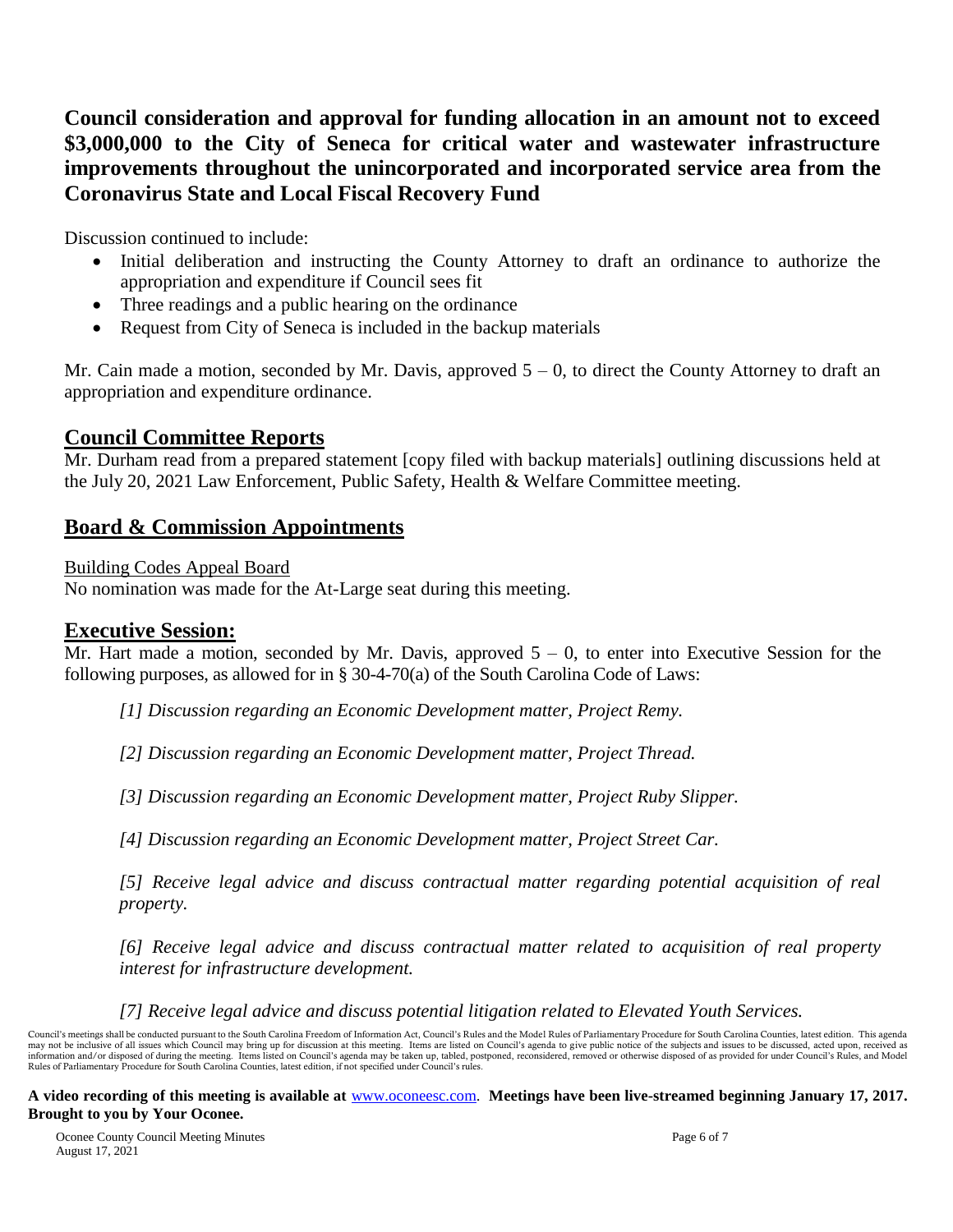**Council consideration and approval for funding allocation in an amount not to exceed \$3,000,000 to the City of Seneca for critical water and wastewater infrastructure improvements throughout the unincorporated and incorporated service area from the Coronavirus State and Local Fiscal Recovery Fund**

Discussion continued to include:

- Initial deliberation and instructing the County Attorney to draft an ordinance to authorize the appropriation and expenditure if Council sees fit
- Three readings and a public hearing on the ordinance
- Request from City of Seneca is included in the backup materials

Mr. Cain made a motion, seconded by Mr. Davis, approved  $5 - 0$ , to direct the County Attorney to draft an appropriation and expenditure ordinance.

### **Council Committee Reports**

Mr. Durham read from a prepared statement [copy filed with backup materials] outlining discussions held at the July 20, 2021 Law Enforcement, Public Safety, Health & Welfare Committee meeting.

### **Board & Commission Appointments**

Building Codes Appeal Board

No nomination was made for the At-Large seat during this meeting.

### **Executive Session:**

Mr. Hart made a motion, seconded by Mr. Davis, approved  $5 - 0$ , to enter into Executive Session for the following purposes, as allowed for in § 30-4-70(a) of the South Carolina Code of Laws:

*[1] Discussion regarding an Economic Development matter, Project Remy.*

*[2] Discussion regarding an Economic Development matter, Project Thread.*

*[3] Discussion regarding an Economic Development matter, Project Ruby Slipper.*

*[4] Discussion regarding an Economic Development matter, Project Street Car.*

*[5] Receive legal advice and discuss contractual matter regarding potential acquisition of real property.*

*[6] Receive legal advice and discuss contractual matter related to acquisition of real property interest for infrastructure development.*

*[7] Receive legal advice and discuss potential litigation related to Elevated Youth Services.*

Council's meetings shall be conducted pursuant to the South Carolina Freedom of Information Act, Council's Rules and the Model Rules of Parliamentary Procedure for South Carolina Counties, latest edition. This agenda may not be inclusive of all issues which Council may bring up for discussion at this meeting. Items are listed on Council's agenda to give public notice of the subjects and issues to be discussed, acted upon, received as i Rules of Parliamentary Procedure for South Carolina Counties, latest edition, if not specified under Council's rules.